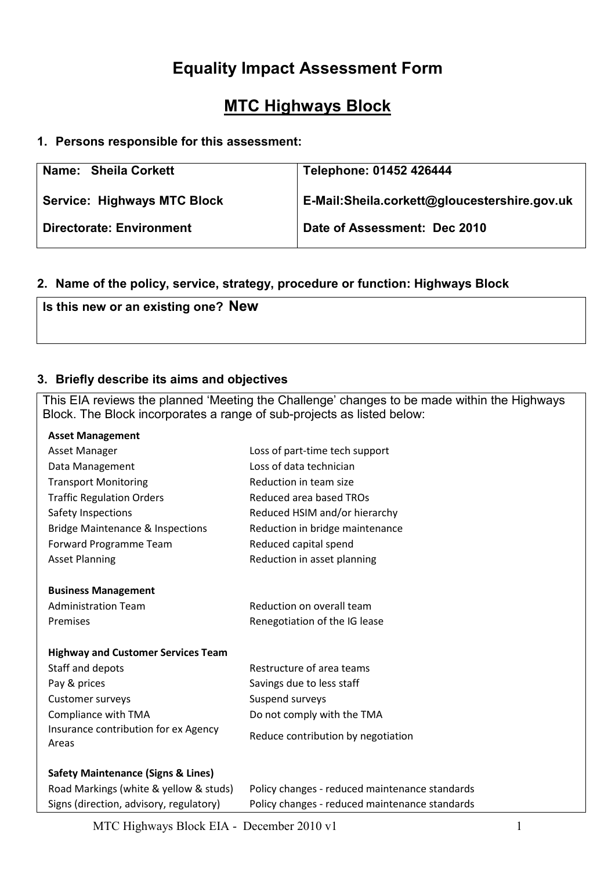# Equality Impact Assessment Form

# MTC Highways Block

#### 1. Persons responsible for this assessment:

| Name: Sheila Corkett               | Telephone: 01452 426444                      |
|------------------------------------|----------------------------------------------|
| <b>Service: Highways MTC Block</b> | E-Mail:Sheila.corkett@gloucestershire.gov.uk |
| <b>Directorate: Environment</b>    | Date of Assessment: Dec 2010                 |

### 2. Name of the policy, service, strategy, procedure or function: Highways Block

Is this new or an existing one? New

#### 3. Briefly describe its aims and objectives

This EIA reviews the planned 'Meeting the Challenge' changes to be made within the Highways Block. The Block incorporates a range of sub-projects as listed below:

| <b>Asset Management</b>                       |                                                |
|-----------------------------------------------|------------------------------------------------|
| Asset Manager                                 | Loss of part-time tech support                 |
| Data Management                               | Loss of data technician                        |
| <b>Transport Monitoring</b>                   | Reduction in team size                         |
| <b>Traffic Regulation Orders</b>              | Reduced area based TROs                        |
| Safety Inspections                            | Reduced HSIM and/or hierarchy                  |
| <b>Bridge Maintenance &amp; Inspections</b>   | Reduction in bridge maintenance                |
| Forward Programme Team                        | Reduced capital spend                          |
| <b>Asset Planning</b>                         | Reduction in asset planning                    |
|                                               |                                                |
| <b>Business Management</b>                    |                                                |
| <b>Administration Team</b>                    | Reduction on overall team                      |
| Premises                                      | Renegotiation of the IG lease                  |
|                                               |                                                |
| <b>Highway and Customer Services Team</b>     |                                                |
| Staff and depots                              | Restructure of area teams                      |
| Pay & prices                                  | Savings due to less staff                      |
| Customer surveys                              | Suspend surveys                                |
| Compliance with TMA                           | Do not comply with the TMA                     |
| Insurance contribution for ex Agency          | Reduce contribution by negotiation             |
| Areas                                         |                                                |
|                                               |                                                |
| <b>Safety Maintenance (Signs &amp; Lines)</b> |                                                |
| Road Markings (white & yellow & studs)        | Policy changes - reduced maintenance standards |
| Signs (direction, advisory, regulatory)       | Policy changes - reduced maintenance standards |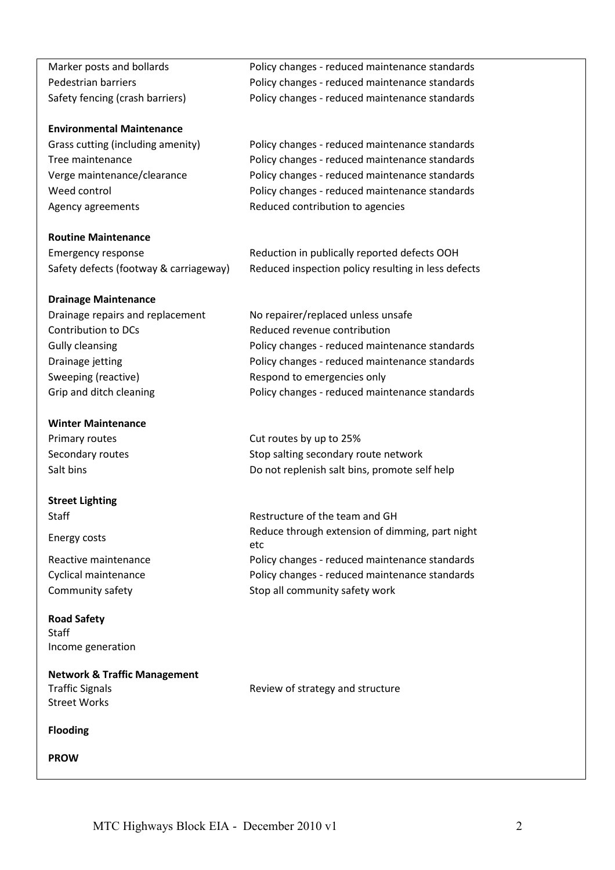Marker posts and bollards Policy changes - reduced maintenance standards Pedestrian barriers **Policy changes** - reduced maintenance standards Safety fencing (crash barriers) Policy changes - reduced maintenance standards

#### Environmental Maintenance

Grass cutting (including amenity) Policy changes - reduced maintenance standards Tree maintenance Tree maintenance and the Policy changes - reduced maintenance standards Verge maintenance/clearance Policy changes - reduced maintenance standards Weed control **Policy changes** - reduced maintenance standards Agency agreements **Reduced contribution to agencies** 

#### Routine Maintenance

Safety defects (footway & carriageway) Reduced inspection policy resulting in less defects

Emergency response Reduction in publically reported defects OOH

# Drainage Maintenance

Contribution to DCs Reduced revenue contribution Sweeping (reactive) and respond to emergencies only

#### Winter Maintenance

#### Street Lighting

#### Road Safety **Staff** Income generation

Network & Traffic Management Traffic Signals Street Works

Flooding

PROW

Drainage repairs and replacement No repairer/replaced unless unsafe Gully cleansing examples a reduced maintenance standards of the Policy changes - reduced maintenance standards Drainage jetting examples a policy changes - reduced maintenance standards Grip and ditch cleaning example and Policy changes - reduced maintenance standards

Primary routes **Cut routes** Cut routes by up to 25% Secondary routes Secondary routes Stop salting secondary route network Salt bins Do not replenish salt bins, promote self help

Staff Restructure of the team and GH Energy costs Reduce through extension of dimming, part night etc Reactive maintenance **Policy changes** - reduced maintenance standards Cyclical maintenance example and a reduced maintenance standards reduced maintenance standards Community safety example and the Stop all community safety work

Review of strategy and structure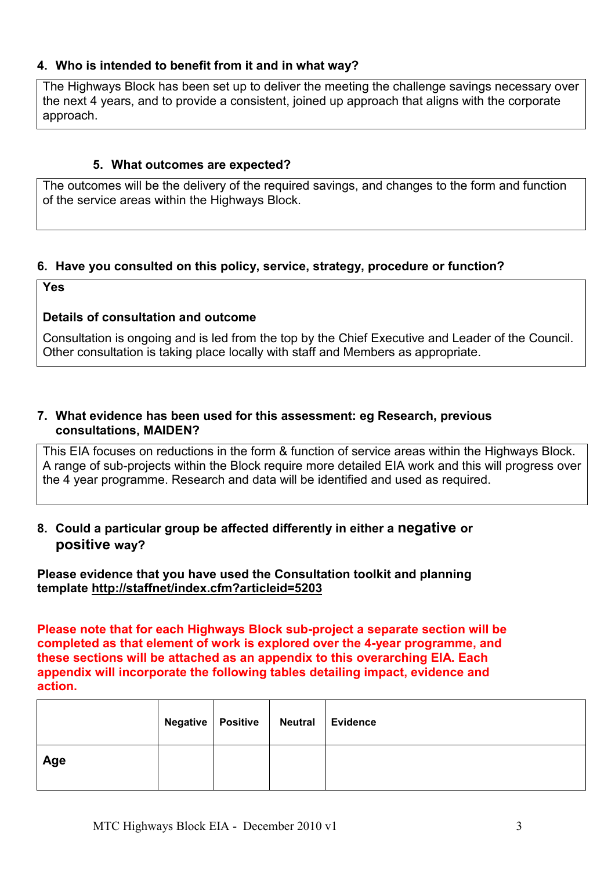#### 4. Who is intended to benefit from it and in what way?

The Highways Block has been set up to deliver the meeting the challenge savings necessary over the next 4 years, and to provide a consistent, joined up approach that aligns with the corporate approach.

#### 5. What outcomes are expected?

The outcomes will be the delivery of the required savings, and changes to the form and function of the service areas within the Highways Block.

#### 6. Have you consulted on this policy, service, strategy, procedure or function?

Yes

#### Details of consultation and outcome

Consultation is ongoing and is led from the top by the Chief Executive and Leader of the Council. Other consultation is taking place locally with staff and Members as appropriate.

#### 7. What evidence has been used for this assessment: eg Research, previous consultations, MAIDEN?

This EIA focuses on reductions in the form & function of service areas within the Highways Block. A range of sub-projects within the Block require more detailed EIA work and this will progress over the 4 year programme. Research and data will be identified and used as required.

#### 8. Could a particular group be affected differently in either a negative or positive way?

Please evidence that you have used the Consultation toolkit and planning template http://staffnet/index.cfm?articleid=5203

Please note that for each Highways Block sub-project a separate section will be completed as that element of work is explored over the 4-year programme, and these sections will be attached as an appendix to this overarching EIA. Each appendix will incorporate the following tables detailing impact, evidence and action.

|     | Negative   Positive   Neutral   Evidence |  |
|-----|------------------------------------------|--|
| Age |                                          |  |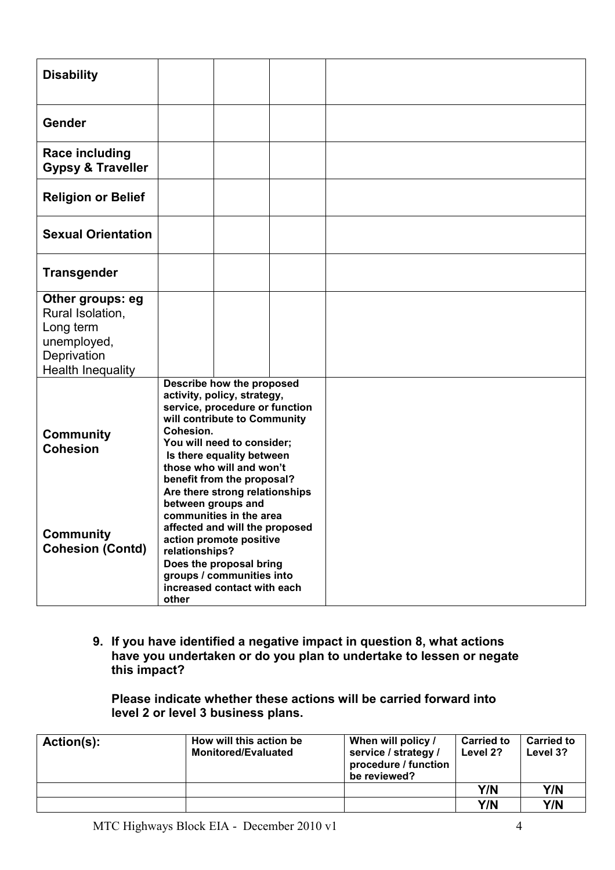| <b>Disability</b>                                                                                           |                                                                                                                                                                                                                                                                                                |  |  |  |
|-------------------------------------------------------------------------------------------------------------|------------------------------------------------------------------------------------------------------------------------------------------------------------------------------------------------------------------------------------------------------------------------------------------------|--|--|--|
| Gender                                                                                                      |                                                                                                                                                                                                                                                                                                |  |  |  |
| <b>Race including</b><br><b>Gypsy &amp; Traveller</b>                                                       |                                                                                                                                                                                                                                                                                                |  |  |  |
| <b>Religion or Belief</b>                                                                                   |                                                                                                                                                                                                                                                                                                |  |  |  |
| <b>Sexual Orientation</b>                                                                                   |                                                                                                                                                                                                                                                                                                |  |  |  |
| <b>Transgender</b>                                                                                          |                                                                                                                                                                                                                                                                                                |  |  |  |
| Other groups: eg<br>Rural Isolation,<br>Long term<br>unemployed,<br>Deprivation<br><b>Health Inequality</b> |                                                                                                                                                                                                                                                                                                |  |  |  |
| <b>Community</b><br><b>Cohesion</b>                                                                         | Describe how the proposed<br>activity, policy, strategy,<br>service, procedure or function<br>will contribute to Community<br>Cohesion.<br>You will need to consider;<br>Is there equality between<br>those who will and won't<br>benefit from the proposal?<br>Are there strong relationships |  |  |  |
| <b>Community</b><br><b>Cohesion (Contd)</b>                                                                 | between groups and<br>communities in the area<br>affected and will the proposed<br>action promote positive<br>relationships?<br>Does the proposal bring<br>groups / communities into<br>increased contact with each<br>other                                                                   |  |  |  |

Please indicate whether these actions will be carried forward into level 2 or level 3 business plans.

| Action(s): | How will this action be<br><b>Monitored/Evaluated</b> | When will policy /<br>service / strategy /<br>procedure / function<br>be reviewed? | <b>Carried to</b><br>Level 2? | <b>Carried to</b><br>Level 3? |
|------------|-------------------------------------------------------|------------------------------------------------------------------------------------|-------------------------------|-------------------------------|
|            |                                                       |                                                                                    | Y/N                           | Y/N                           |
|            |                                                       |                                                                                    | Y/N                           | Y/N                           |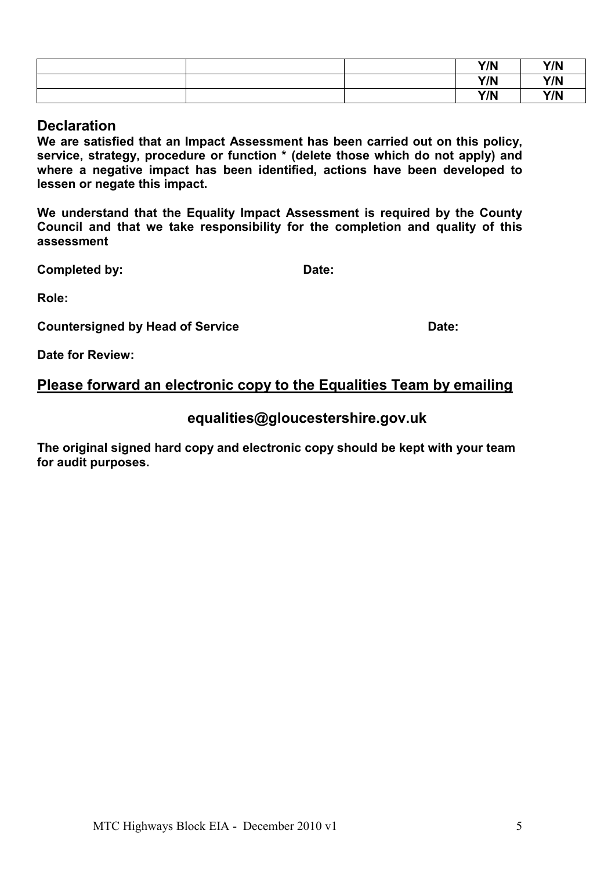|  | Y/N | Y/N |
|--|-----|-----|
|  | Y/N | Y/N |
|  | Y/N | Y/N |

#### **Declaration**

We are satisfied that an Impact Assessment has been carried out on this policy, service, strategy, procedure or function \* (delete those which do not apply) and where a negative impact has been identified, actions have been developed to lessen or negate this impact.

We understand that the Equality Impact Assessment is required by the County Council and that we take responsibility for the completion and quality of this assessment

Completed by: Date:

Role:

Countersigned by Head of Service Date: Date:

Date for Review:

## Please forward an electronic copy to the Equalities Team by emailing

## equalities@gloucestershire.gov.uk

The original signed hard copy and electronic copy should be kept with your team for audit purposes.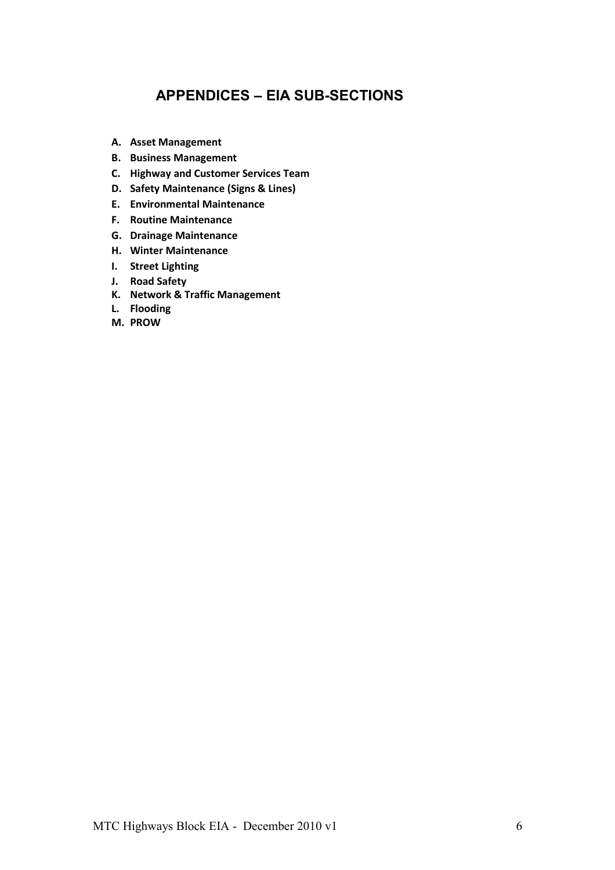## APPENDICES – EIA SUB-SECTIONS

- A. Asset Management
- B. Business Management
- C. Highway and Customer Services Team
- D. Safety Maintenance (Signs & Lines)
- E. Environmental Maintenance
- F. Routine Maintenance
- G. Drainage Maintenance
- H. Winter Maintenance
- I. Street Lighting
- J. Road Safety
- K. Network & Traffic Management
- L. Flooding
- M. PROW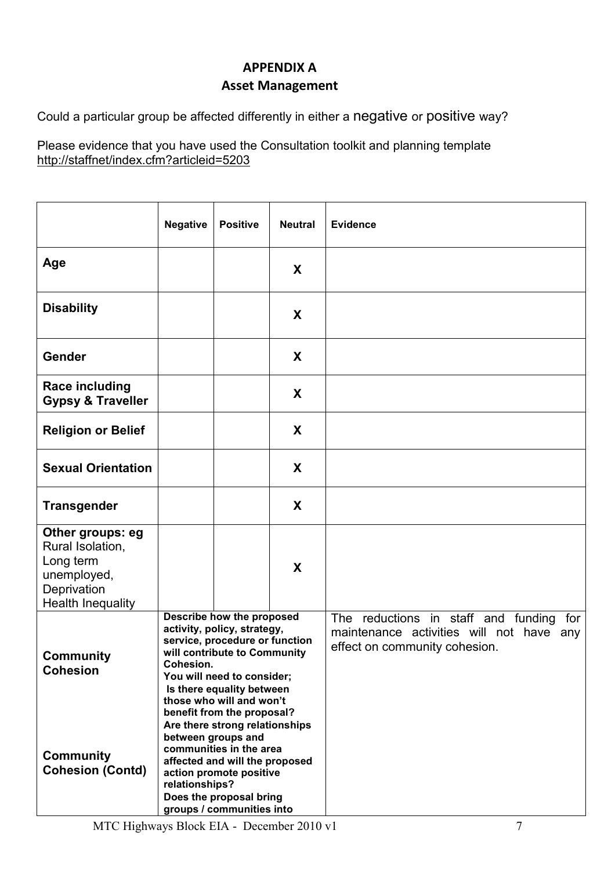## APPENDIX A Asset Management

Could a particular group be affected differently in either a negative or positive way?

|                                                                                                             | <b>Negative</b>                                                                                                                                                                                                                                              | <b>Positive</b> | <b>Neutral</b> | <b>Evidence</b>                                                                                                      |
|-------------------------------------------------------------------------------------------------------------|--------------------------------------------------------------------------------------------------------------------------------------------------------------------------------------------------------------------------------------------------------------|-----------------|----------------|----------------------------------------------------------------------------------------------------------------------|
| Age                                                                                                         |                                                                                                                                                                                                                                                              |                 | X              |                                                                                                                      |
| <b>Disability</b>                                                                                           |                                                                                                                                                                                                                                                              |                 | X              |                                                                                                                      |
| Gender                                                                                                      |                                                                                                                                                                                                                                                              |                 | X              |                                                                                                                      |
| <b>Race including</b><br><b>Gypsy &amp; Traveller</b>                                                       |                                                                                                                                                                                                                                                              |                 | X              |                                                                                                                      |
| <b>Religion or Belief</b>                                                                                   |                                                                                                                                                                                                                                                              |                 | X              |                                                                                                                      |
| <b>Sexual Orientation</b>                                                                                   |                                                                                                                                                                                                                                                              |                 | X              |                                                                                                                      |
| <b>Transgender</b>                                                                                          |                                                                                                                                                                                                                                                              |                 | X              |                                                                                                                      |
| Other groups: eg<br>Rural Isolation,<br>Long term<br>unemployed,<br>Deprivation<br><b>Health Inequality</b> |                                                                                                                                                                                                                                                              |                 | X              |                                                                                                                      |
| <b>Community</b><br><b>Cohesion</b>                                                                         | Describe how the proposed<br>activity, policy, strategy,<br>service, procedure or function<br>will contribute to Community<br>Cohesion.<br>You will need to consider;<br>Is there equality between<br>those who will and won't<br>benefit from the proposal? |                 |                | The reductions in staff and funding for<br>maintenance activities will not have any<br>effect on community cohesion. |
| <b>Community</b><br><b>Cohesion (Contd)</b>                                                                 | Are there strong relationships<br>between groups and<br>communities in the area<br>affected and will the proposed<br>action promote positive<br>relationships?<br>Does the proposal bring<br>groups / communities into                                       |                 |                |                                                                                                                      |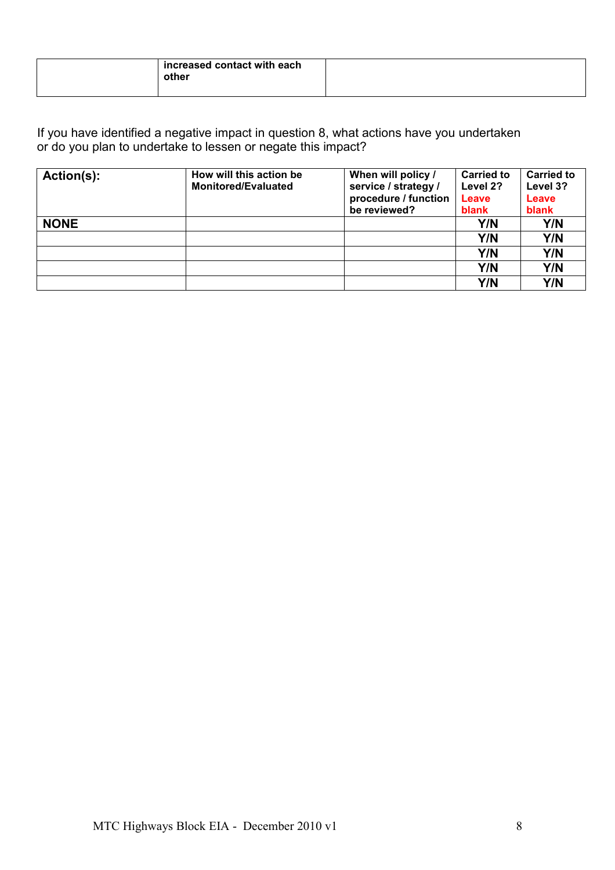| increased contact with each<br>other |  |
|--------------------------------------|--|
|--------------------------------------|--|

| Action(s):  | How will this action be<br><b>Monitored/Evaluated</b> | When will policy /<br>service / strategy / | <b>Carried to</b><br>Level 2? | <b>Carried to</b><br>Level 3? |
|-------------|-------------------------------------------------------|--------------------------------------------|-------------------------------|-------------------------------|
|             |                                                       | procedure / function                       | Leave                         | Leave                         |
|             |                                                       | be reviewed?                               | blank                         | blank                         |
| <b>NONE</b> |                                                       |                                            | Y/N                           | Y/N                           |
|             |                                                       |                                            | Y/N                           | Y/N                           |
|             |                                                       |                                            | Y/N                           | Y/N                           |
|             |                                                       |                                            | Y/N                           | Y/N                           |
|             |                                                       |                                            | Y/N                           | Y/N                           |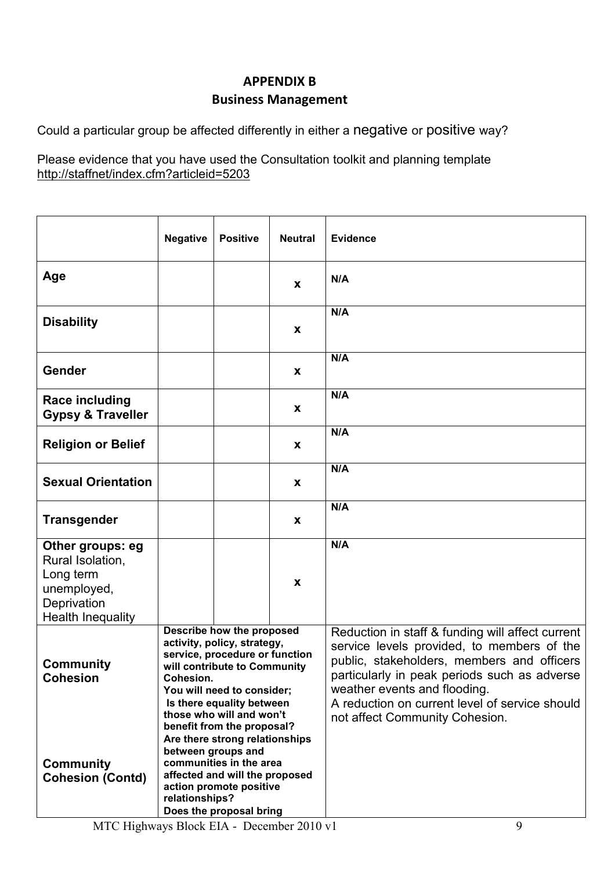## APPENDIX B Business Management

Could a particular group be affected differently in either a negative or positive way?

|                                                                                                             | <b>Negative</b>                                                                                                                                                                                                                                                                                                                                                                                                     | <b>Positive</b>         | <b>Neutral</b>     | <b>Evidence</b>                                                                                                                                                                                                                                                                                                  |
|-------------------------------------------------------------------------------------------------------------|---------------------------------------------------------------------------------------------------------------------------------------------------------------------------------------------------------------------------------------------------------------------------------------------------------------------------------------------------------------------------------------------------------------------|-------------------------|--------------------|------------------------------------------------------------------------------------------------------------------------------------------------------------------------------------------------------------------------------------------------------------------------------------------------------------------|
| Age                                                                                                         |                                                                                                                                                                                                                                                                                                                                                                                                                     |                         | X                  | N/A                                                                                                                                                                                                                                                                                                              |
| <b>Disability</b>                                                                                           |                                                                                                                                                                                                                                                                                                                                                                                                                     |                         | $\pmb{\mathsf{X}}$ | N/A                                                                                                                                                                                                                                                                                                              |
| Gender                                                                                                      |                                                                                                                                                                                                                                                                                                                                                                                                                     |                         | $\pmb{\mathsf{X}}$ | N/A                                                                                                                                                                                                                                                                                                              |
| <b>Race including</b><br><b>Gypsy &amp; Traveller</b>                                                       |                                                                                                                                                                                                                                                                                                                                                                                                                     |                         | X                  | N/A                                                                                                                                                                                                                                                                                                              |
| <b>Religion or Belief</b>                                                                                   |                                                                                                                                                                                                                                                                                                                                                                                                                     |                         | X                  | N/A                                                                                                                                                                                                                                                                                                              |
| <b>Sexual Orientation</b>                                                                                   |                                                                                                                                                                                                                                                                                                                                                                                                                     |                         | X                  | N/A                                                                                                                                                                                                                                                                                                              |
| <b>Transgender</b>                                                                                          |                                                                                                                                                                                                                                                                                                                                                                                                                     |                         | $\pmb{\mathsf{X}}$ | N/A                                                                                                                                                                                                                                                                                                              |
| Other groups: eg<br>Rural Isolation,<br>Long term<br>unemployed,<br>Deprivation<br><b>Health Inequality</b> |                                                                                                                                                                                                                                                                                                                                                                                                                     |                         | X                  | N/A                                                                                                                                                                                                                                                                                                              |
| <b>Community</b><br>Cohesion<br><b>Community</b><br><b>Cohesion (Contd)</b>                                 | Describe how the proposed<br>activity, policy, strategy,<br>service, procedure or function<br>will contribute to Community<br><b>Cohesion.</b><br>You will need to consider;<br>Is there equality between<br>those who will and won't<br>benefit from the proposal?<br>Are there strong relationships<br>between groups and<br>communities in the area<br>affected and will the proposed<br>action promote positive |                         |                    | Reduction in staff & funding will affect current<br>service levels provided, to members of the<br>public, stakeholders, members and officers<br>particularly in peak periods such as adverse<br>weather events and flooding.<br>A reduction on current level of service should<br>not affect Community Cohesion. |
|                                                                                                             | relationships?                                                                                                                                                                                                                                                                                                                                                                                                      | Does the proposal bring |                    |                                                                                                                                                                                                                                                                                                                  |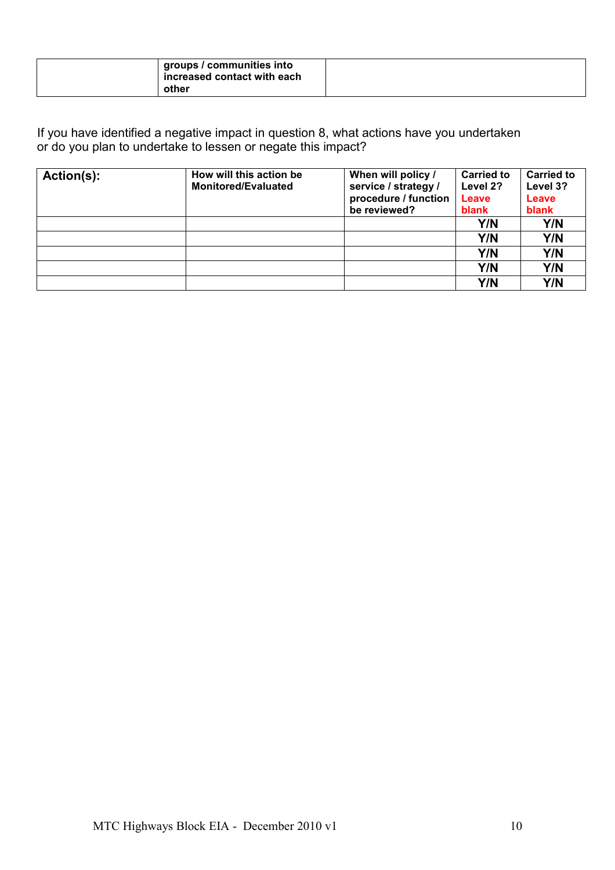|  | groups / communities into<br>$\frac{1}{2}$ increased contact with each<br>other |  |
|--|---------------------------------------------------------------------------------|--|
|--|---------------------------------------------------------------------------------|--|

| Action(s): | How will this action be<br><b>Monitored/Evaluated</b> | When will policy /<br>service / strategy /<br>procedure / function | <b>Carried to</b><br>Level 2?<br>Leave | <b>Carried to</b><br>Level 3?<br>Leave |
|------------|-------------------------------------------------------|--------------------------------------------------------------------|----------------------------------------|----------------------------------------|
|            |                                                       | be reviewed?                                                       | blank                                  | blank                                  |
|            |                                                       |                                                                    | Y/N                                    | Y/N                                    |
|            |                                                       |                                                                    | Y/N                                    | Y/N                                    |
|            |                                                       |                                                                    | Y/N                                    | Y/N                                    |
|            |                                                       |                                                                    | Y/N                                    | Y/N                                    |
|            |                                                       |                                                                    | Y/N                                    | Y/N                                    |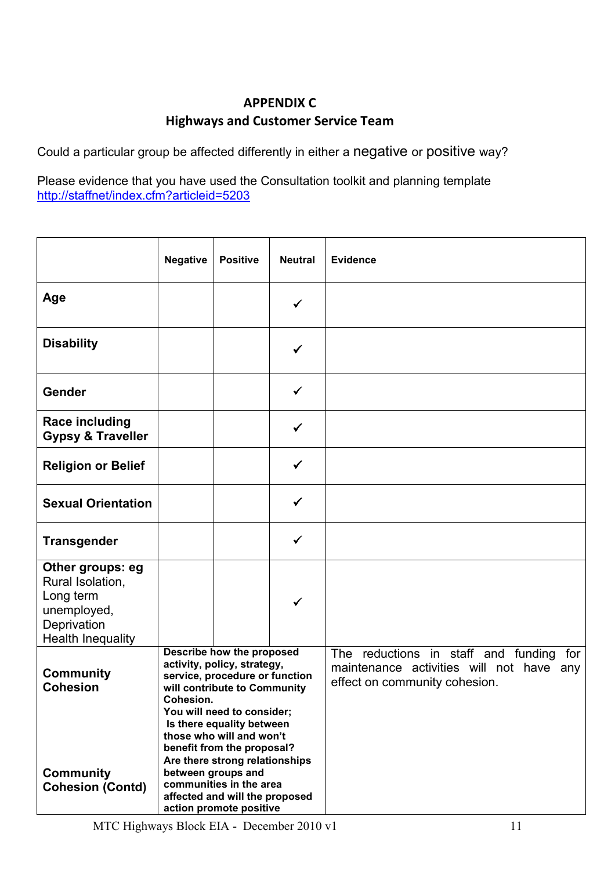## APPENDIX C Highways and Customer Service Team

Could a particular group be affected differently in either a negative or positive way?

|                                                                                                      | <b>Negative</b>                                                                                                                                                                                                                                                                                                                                                                                              | <b>Positive</b> | <b>Neutral</b> | <b>Evidence</b>                                                                                                      |
|------------------------------------------------------------------------------------------------------|--------------------------------------------------------------------------------------------------------------------------------------------------------------------------------------------------------------------------------------------------------------------------------------------------------------------------------------------------------------------------------------------------------------|-----------------|----------------|----------------------------------------------------------------------------------------------------------------------|
| Age                                                                                                  |                                                                                                                                                                                                                                                                                                                                                                                                              |                 | ✓              |                                                                                                                      |
| <b>Disability</b>                                                                                    |                                                                                                                                                                                                                                                                                                                                                                                                              |                 |                |                                                                                                                      |
| Gender                                                                                               |                                                                                                                                                                                                                                                                                                                                                                                                              |                 | $\checkmark$   |                                                                                                                      |
| <b>Race including</b><br><b>Gypsy &amp; Traveller</b>                                                |                                                                                                                                                                                                                                                                                                                                                                                                              |                 | ✓              |                                                                                                                      |
| <b>Religion or Belief</b>                                                                            |                                                                                                                                                                                                                                                                                                                                                                                                              |                 | ✔              |                                                                                                                      |
| <b>Sexual Orientation</b>                                                                            |                                                                                                                                                                                                                                                                                                                                                                                                              |                 | ✓              |                                                                                                                      |
| <b>Transgender</b>                                                                                   |                                                                                                                                                                                                                                                                                                                                                                                                              |                 | $\checkmark$   |                                                                                                                      |
| Other groups: eg<br>Rural Isolation,<br>Long term<br>unemployed,<br>Deprivation<br>Health Inequality |                                                                                                                                                                                                                                                                                                                                                                                                              |                 |                |                                                                                                                      |
| <b>Community</b><br><b>Cohesion</b><br><b>Community</b><br><b>Cohesion (Contd)</b>                   | Describe how the proposed<br>activity, policy, strategy,<br>service, procedure or function<br>will contribute to Community<br>Cohesion.<br>You will need to consider;<br>Is there equality between<br>those who will and won't<br>benefit from the proposal?<br>Are there strong relationships<br>between groups and<br>communities in the area<br>affected and will the proposed<br>action promote positive |                 |                | The reductions in staff and funding for<br>maintenance activities will not have any<br>effect on community cohesion. |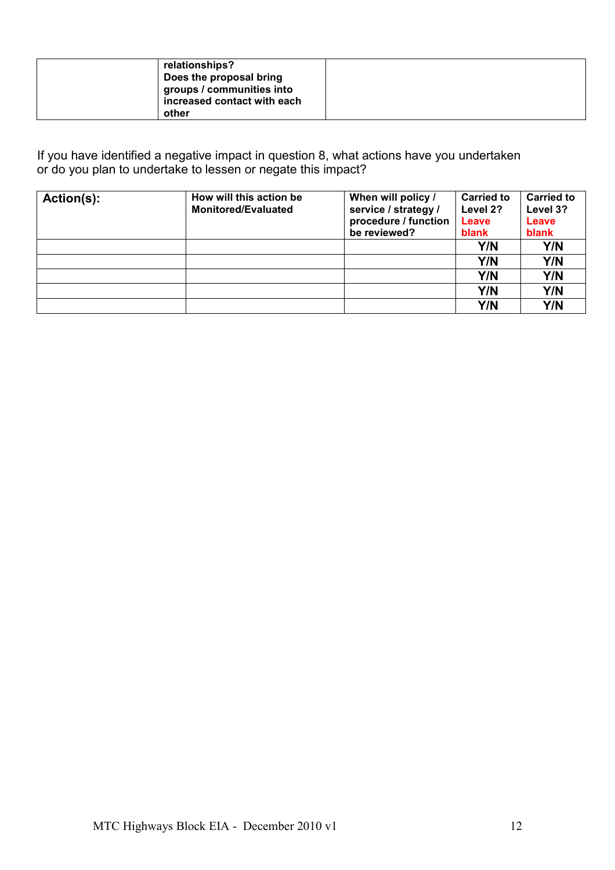| relationships?              |  |
|-----------------------------|--|
| Does the proposal bring     |  |
| groups / communities into   |  |
| increased contact with each |  |
| other                       |  |

| Action(s): | How will this action be<br><b>Monitored/Evaluated</b> | When will policy /<br>service / strategy /<br>procedure / function<br>be reviewed? | <b>Carried to</b><br>Level 2?<br>Leave<br>blank | <b>Carried to</b><br>Level 3?<br>Leave<br>blank |
|------------|-------------------------------------------------------|------------------------------------------------------------------------------------|-------------------------------------------------|-------------------------------------------------|
|            |                                                       |                                                                                    | Y/N                                             | Y/N                                             |
|            |                                                       |                                                                                    | Y/N                                             | Y/N                                             |
|            |                                                       |                                                                                    | Y/N                                             | Y/N                                             |
|            |                                                       |                                                                                    | Y/N                                             | Y/N                                             |
|            |                                                       |                                                                                    | Y/N                                             | Y/N                                             |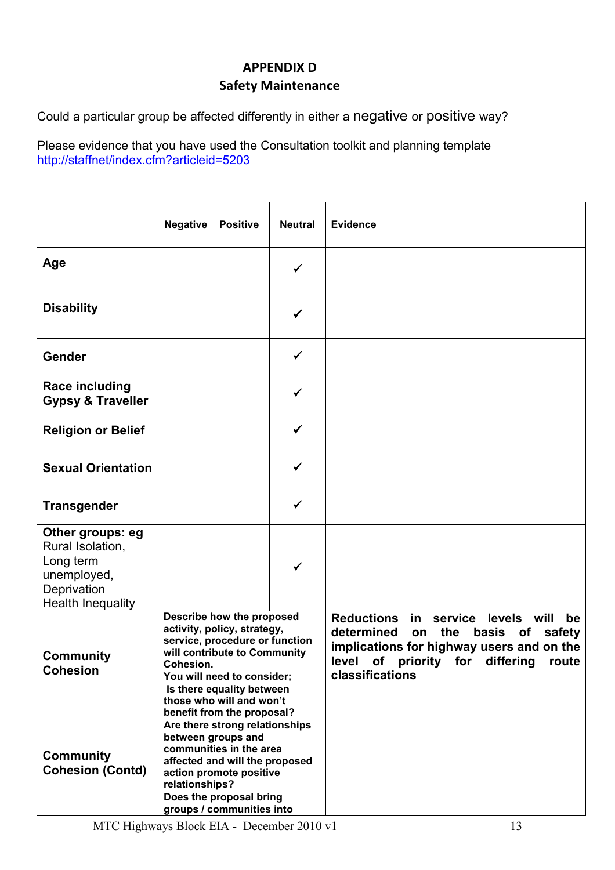## APPENDIX D Safety Maintenance

Could a particular group be affected differently in either a negative or positive way?

|                                                                                                             | <b>Negative</b> | <b>Positive</b>                                                                                                                                                                                                                                 | <b>Neutral</b> | <b>Evidence</b>                                                                                                                                                                                                               |
|-------------------------------------------------------------------------------------------------------------|-----------------|-------------------------------------------------------------------------------------------------------------------------------------------------------------------------------------------------------------------------------------------------|----------------|-------------------------------------------------------------------------------------------------------------------------------------------------------------------------------------------------------------------------------|
| Age                                                                                                         |                 |                                                                                                                                                                                                                                                 | ✓              |                                                                                                                                                                                                                               |
| <b>Disability</b>                                                                                           |                 |                                                                                                                                                                                                                                                 | ✓              |                                                                                                                                                                                                                               |
| Gender                                                                                                      |                 |                                                                                                                                                                                                                                                 | ✓              |                                                                                                                                                                                                                               |
| <b>Race including</b><br><b>Gypsy &amp; Traveller</b>                                                       |                 |                                                                                                                                                                                                                                                 | ✓              |                                                                                                                                                                                                                               |
| <b>Religion or Belief</b>                                                                                   |                 |                                                                                                                                                                                                                                                 | $\checkmark$   |                                                                                                                                                                                                                               |
| <b>Sexual Orientation</b>                                                                                   |                 |                                                                                                                                                                                                                                                 | ✓              |                                                                                                                                                                                                                               |
| <b>Transgender</b>                                                                                          |                 |                                                                                                                                                                                                                                                 | ✓              |                                                                                                                                                                                                                               |
| Other groups: eg<br>Rural Isolation,<br>Long term<br>unemployed,<br>Deprivation<br><b>Health Inequality</b> |                 |                                                                                                                                                                                                                                                 | ✓              |                                                                                                                                                                                                                               |
| <b>Community</b><br><b>Cohesion</b>                                                                         | Cohesion.       | Describe how the proposed<br>activity, policy, strategy,<br>service, procedure or function<br>will contribute to Community<br>You will need to consider;<br>Is there equality between<br>those who will and won't<br>benefit from the proposal? |                | <b>Reductions</b><br>in<br>service<br>levels will<br>be<br>determined<br>the<br>basis of<br>safety<br>on<br>implications for highway users and on the<br>level<br>of<br>differing<br>priority for<br>route<br>classifications |
| <b>Community</b><br><b>Cohesion (Contd)</b>                                                                 | relationships?  | Are there strong relationships<br>between groups and<br>communities in the area<br>affected and will the proposed<br>action promote positive<br>Does the proposal bring<br>groups / communities into                                            |                |                                                                                                                                                                                                                               |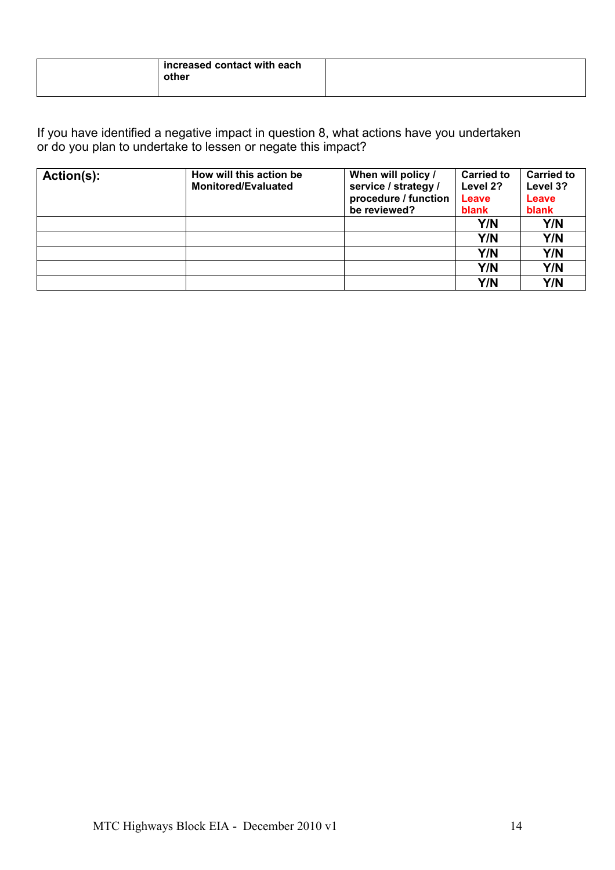| increased contact with each<br>other |  |
|--------------------------------------|--|
|--------------------------------------|--|

| Action(s): | How will this action be<br><b>Monitored/Evaluated</b> | When will policy /                           | <b>Carried to</b> | <b>Carried to</b> |
|------------|-------------------------------------------------------|----------------------------------------------|-------------------|-------------------|
|            |                                                       | service / strategy /<br>procedure / function | Level 2?<br>Leave | Level 3?<br>Leave |
|            |                                                       | be reviewed?                                 | blank             | blank             |
|            |                                                       |                                              | Y/N               | Y/N               |
|            |                                                       |                                              | Y/N               | Y/N               |
|            |                                                       |                                              | Y/N               | Y/N               |
|            |                                                       |                                              | Y/N               | Y/N               |
|            |                                                       |                                              | Y/N               | Y/N               |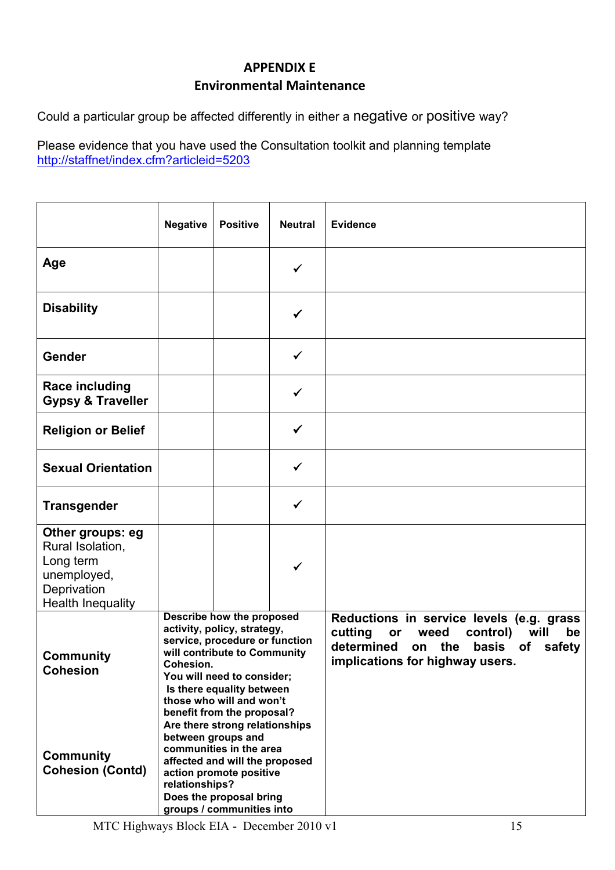## APPENDIX E Environmental Maintenance

Could a particular group be affected differently in either a negative or positive way?

|                                                                                                             | <b>Negative</b> | <b>Positive</b>                                                                                                                                                                                                                                 | <b>Neutral</b> | <b>Evidence</b>                                                                                                                                                                 |
|-------------------------------------------------------------------------------------------------------------|-----------------|-------------------------------------------------------------------------------------------------------------------------------------------------------------------------------------------------------------------------------------------------|----------------|---------------------------------------------------------------------------------------------------------------------------------------------------------------------------------|
| Age                                                                                                         |                 |                                                                                                                                                                                                                                                 | $\checkmark$   |                                                                                                                                                                                 |
| <b>Disability</b>                                                                                           |                 |                                                                                                                                                                                                                                                 | ✓              |                                                                                                                                                                                 |
| Gender                                                                                                      |                 |                                                                                                                                                                                                                                                 | ✓              |                                                                                                                                                                                 |
| <b>Race including</b><br><b>Gypsy &amp; Traveller</b>                                                       |                 |                                                                                                                                                                                                                                                 | $\checkmark$   |                                                                                                                                                                                 |
| <b>Religion or Belief</b>                                                                                   |                 |                                                                                                                                                                                                                                                 | $\checkmark$   |                                                                                                                                                                                 |
| <b>Sexual Orientation</b>                                                                                   |                 |                                                                                                                                                                                                                                                 | ✓              |                                                                                                                                                                                 |
| <b>Transgender</b>                                                                                          |                 |                                                                                                                                                                                                                                                 | ✓              |                                                                                                                                                                                 |
| Other groups: eg<br>Rural Isolation,<br>Long term<br>unemployed,<br>Deprivation<br><b>Health Inequality</b> |                 |                                                                                                                                                                                                                                                 | ✓              |                                                                                                                                                                                 |
| <b>Community</b><br><b>Cohesion</b>                                                                         | Cohesion.       | Describe how the proposed<br>activity, policy, strategy,<br>service, procedure or function<br>will contribute to Community<br>You will need to consider;<br>Is there equality between<br>those who will and won't<br>benefit from the proposal? |                | Reductions in service levels (e.g. grass<br>cutting<br>weed<br>control)<br>will<br>or<br>be<br>determined<br>on the<br>basis<br>of<br>safety<br>implications for highway users. |
| <b>Community</b><br><b>Cohesion (Contd)</b>                                                                 | relationships?  | Are there strong relationships<br>between groups and<br>communities in the area<br>affected and will the proposed<br>action promote positive<br>Does the proposal bring<br>groups / communities into                                            |                |                                                                                                                                                                                 |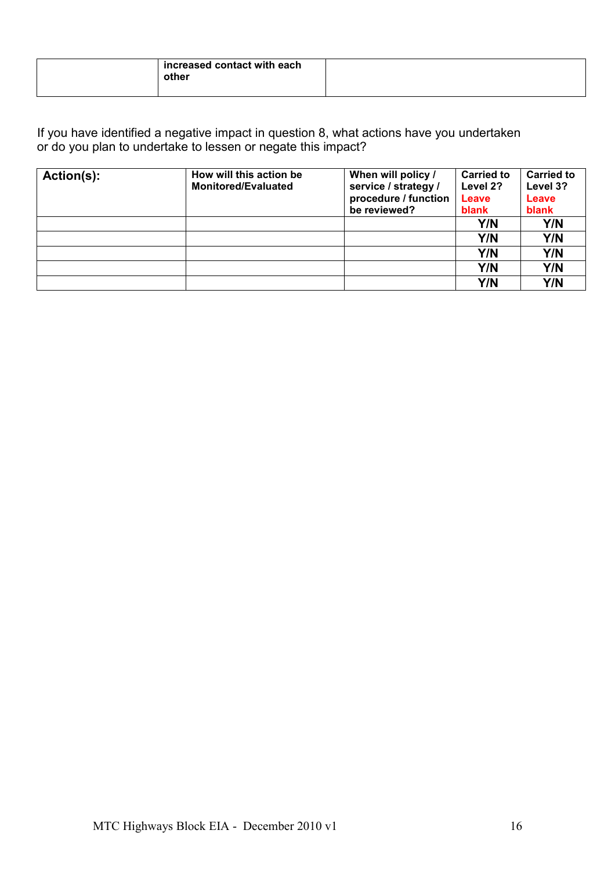| increased contact with each<br>other |  |
|--------------------------------------|--|
|--------------------------------------|--|

| Action(s): | How will this action be<br><b>Monitored/Evaluated</b> | When will policy /                           | <b>Carried to</b> | <b>Carried to</b> |
|------------|-------------------------------------------------------|----------------------------------------------|-------------------|-------------------|
|            |                                                       | service / strategy /<br>procedure / function | Level 2?<br>Leave | Level 3?<br>Leave |
|            |                                                       | be reviewed?                                 | blank             | blank             |
|            |                                                       |                                              | Y/N               | Y/N               |
|            |                                                       |                                              | Y/N               | Y/N               |
|            |                                                       |                                              | Y/N               | Y/N               |
|            |                                                       |                                              | Y/N               | Y/N               |
|            |                                                       |                                              | Y/N               | Y/N               |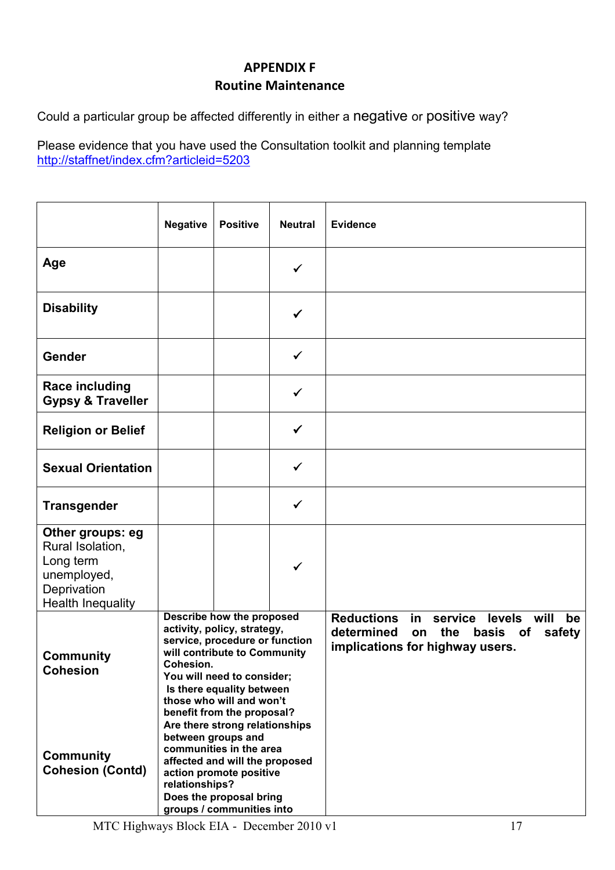## APPENDIX F Routine Maintenance

Could a particular group be affected differently in either a negative or positive way?

|                                                                                                             | <b>Negative</b> | <b>Positive</b>                                                                                                                                                                                                                                 | <b>Neutral</b> | <b>Evidence</b>                                                                                                                          |
|-------------------------------------------------------------------------------------------------------------|-----------------|-------------------------------------------------------------------------------------------------------------------------------------------------------------------------------------------------------------------------------------------------|----------------|------------------------------------------------------------------------------------------------------------------------------------------|
| Age                                                                                                         |                 |                                                                                                                                                                                                                                                 | ✓              |                                                                                                                                          |
| <b>Disability</b>                                                                                           |                 |                                                                                                                                                                                                                                                 | ✓              |                                                                                                                                          |
| Gender                                                                                                      |                 |                                                                                                                                                                                                                                                 | ✓              |                                                                                                                                          |
| <b>Race including</b><br><b>Gypsy &amp; Traveller</b>                                                       |                 |                                                                                                                                                                                                                                                 | ✓              |                                                                                                                                          |
| <b>Religion or Belief</b>                                                                                   |                 |                                                                                                                                                                                                                                                 | $\checkmark$   |                                                                                                                                          |
| <b>Sexual Orientation</b>                                                                                   |                 |                                                                                                                                                                                                                                                 | ✓              |                                                                                                                                          |
| <b>Transgender</b>                                                                                          |                 |                                                                                                                                                                                                                                                 | ✓              |                                                                                                                                          |
| Other groups: eg<br>Rural Isolation,<br>Long term<br>unemployed,<br>Deprivation<br><b>Health Inequality</b> |                 |                                                                                                                                                                                                                                                 | ✓              |                                                                                                                                          |
| <b>Community</b><br><b>Cohesion</b>                                                                         | Cohesion.       | Describe how the proposed<br>activity, policy, strategy,<br>service, procedure or function<br>will contribute to Community<br>You will need to consider;<br>Is there equality between<br>those who will and won't<br>benefit from the proposal? |                | <b>Reductions</b><br>in<br>service<br>levels will<br>be<br>determined<br>on the<br>basis of<br>safety<br>implications for highway users. |
| <b>Community</b><br><b>Cohesion (Contd)</b>                                                                 | relationships?  | Are there strong relationships<br>between groups and<br>communities in the area<br>affected and will the proposed<br>action promote positive<br>Does the proposal bring<br>groups / communities into                                            |                |                                                                                                                                          |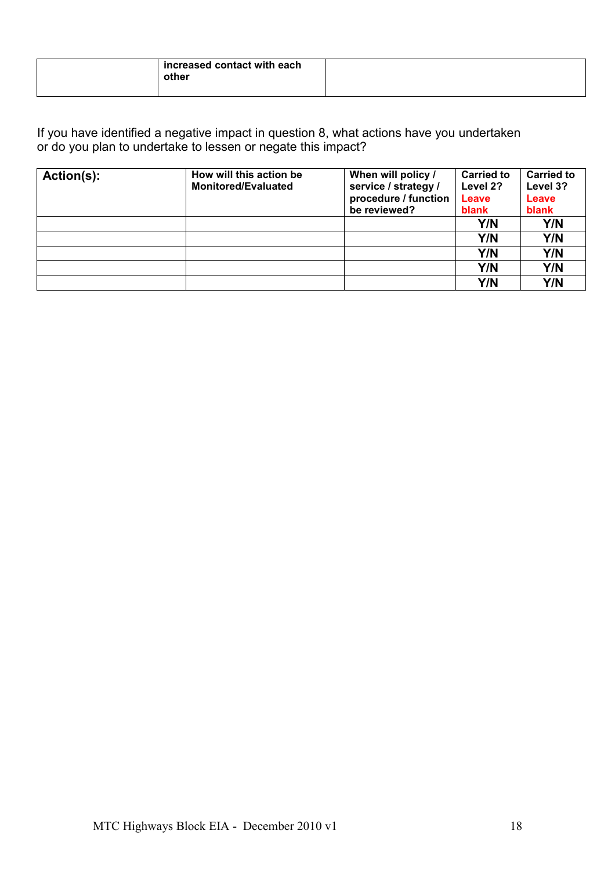| increased contact with each<br>other |  |
|--------------------------------------|--|
|--------------------------------------|--|

| Action(s): | How will this action be<br><b>Monitored/Evaluated</b> | When will policy /                           | <b>Carried to</b> | <b>Carried to</b> |
|------------|-------------------------------------------------------|----------------------------------------------|-------------------|-------------------|
|            |                                                       | service / strategy /<br>procedure / function | Level 2?<br>Leave | Level 3?<br>Leave |
|            |                                                       | be reviewed?                                 | blank             | blank             |
|            |                                                       |                                              | Y/N               | Y/N               |
|            |                                                       |                                              | Y/N               | Y/N               |
|            |                                                       |                                              | Y/N               | Y/N               |
|            |                                                       |                                              | Y/N               | Y/N               |
|            |                                                       |                                              | Y/N               | Y/N               |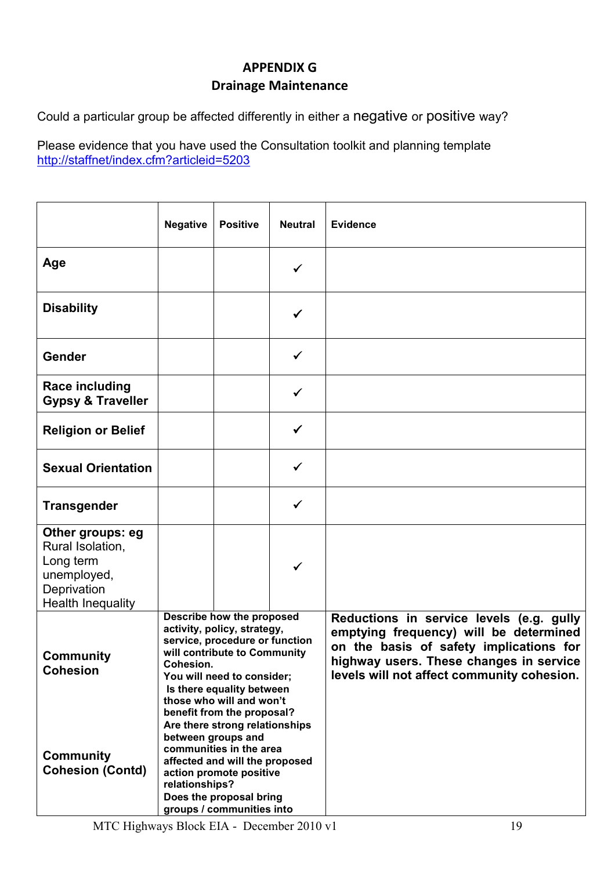## APPENDIX G Drainage Maintenance

Could a particular group be affected differently in either a negative or positive way?

|                                                                                                             | <b>Negative</b>                                                                                                                                                                                                                                              | <b>Positive</b> | <b>Neutral</b> | <b>Evidence</b>                                                                                                                                                                                                        |
|-------------------------------------------------------------------------------------------------------------|--------------------------------------------------------------------------------------------------------------------------------------------------------------------------------------------------------------------------------------------------------------|-----------------|----------------|------------------------------------------------------------------------------------------------------------------------------------------------------------------------------------------------------------------------|
| Age                                                                                                         |                                                                                                                                                                                                                                                              |                 | ✓              |                                                                                                                                                                                                                        |
| <b>Disability</b>                                                                                           |                                                                                                                                                                                                                                                              |                 | ✓              |                                                                                                                                                                                                                        |
| Gender                                                                                                      |                                                                                                                                                                                                                                                              |                 | ✓              |                                                                                                                                                                                                                        |
| <b>Race including</b><br><b>Gypsy &amp; Traveller</b>                                                       |                                                                                                                                                                                                                                                              |                 | ✓              |                                                                                                                                                                                                                        |
| <b>Religion or Belief</b>                                                                                   |                                                                                                                                                                                                                                                              |                 | $\checkmark$   |                                                                                                                                                                                                                        |
| <b>Sexual Orientation</b>                                                                                   |                                                                                                                                                                                                                                                              |                 | ✓              |                                                                                                                                                                                                                        |
| <b>Transgender</b>                                                                                          |                                                                                                                                                                                                                                                              |                 | ✓              |                                                                                                                                                                                                                        |
| Other groups: eg<br>Rural Isolation,<br>Long term<br>unemployed,<br>Deprivation<br><b>Health Inequality</b> |                                                                                                                                                                                                                                                              |                 | ✓              |                                                                                                                                                                                                                        |
| <b>Community</b><br><b>Cohesion</b>                                                                         | Describe how the proposed<br>activity, policy, strategy,<br>service, procedure or function<br>will contribute to Community<br>Cohesion.<br>You will need to consider;<br>Is there equality between<br>those who will and won't<br>benefit from the proposal? |                 |                | Reductions in service levels (e.g. gully<br>emptying frequency) will be determined<br>on the basis of safety implications for<br>highway users. These changes in service<br>levels will not affect community cohesion. |
| <b>Community</b><br><b>Cohesion (Contd)</b>                                                                 | Are there strong relationships<br>between groups and<br>communities in the area<br>affected and will the proposed<br>action promote positive<br>relationships?<br>Does the proposal bring<br>groups / communities into                                       |                 |                |                                                                                                                                                                                                                        |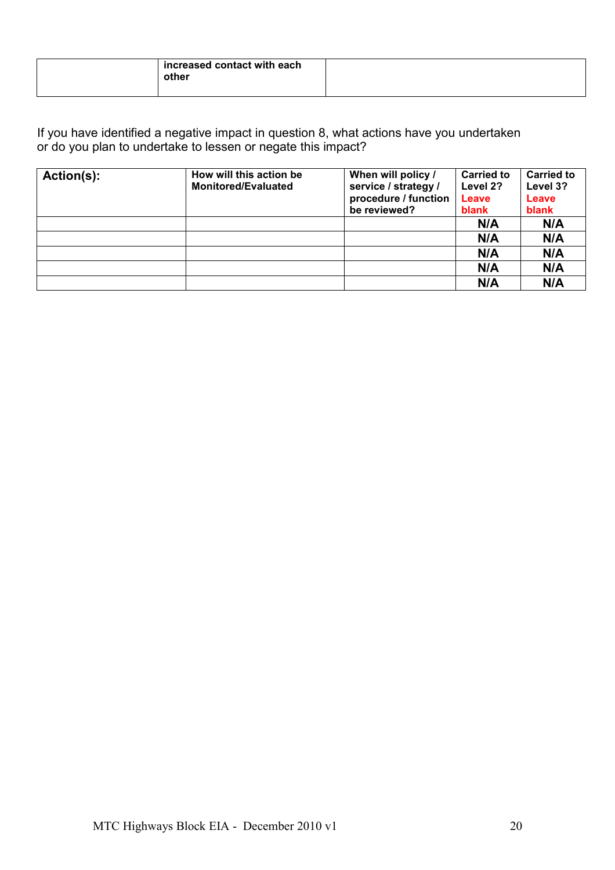| increased contact with each<br>other |  |
|--------------------------------------|--|
|--------------------------------------|--|

| Action(s): | How will this action be<br><b>Monitored/Evaluated</b> | When will policy /<br>service / strategy /<br>procedure / function<br>be reviewed? | <b>Carried to</b><br>Level 2?<br>Leave<br>blank | <b>Carried to</b><br>Level 3?<br>Leave<br>blank |
|------------|-------------------------------------------------------|------------------------------------------------------------------------------------|-------------------------------------------------|-------------------------------------------------|
|            |                                                       |                                                                                    | N/A                                             | N/A                                             |
|            |                                                       |                                                                                    | N/A                                             | N/A                                             |
|            |                                                       |                                                                                    | N/A                                             | N/A                                             |
|            |                                                       |                                                                                    | N/A                                             | N/A                                             |
|            |                                                       |                                                                                    | N/A                                             | N/A                                             |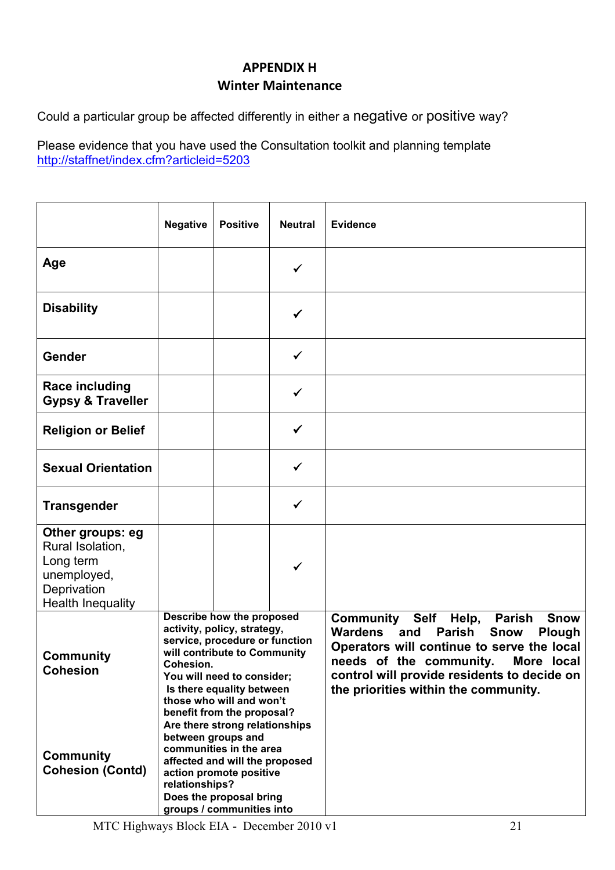## APPENDIX H Winter Maintenance

Could a particular group be affected differently in either a negative or positive way?

|                                                                                                             | <b>Negative</b>                                                                                                                                                                                                                                      | <b>Positive</b> | <b>Neutral</b> | <b>Evidence</b>                                                                                                                                                                                                                                                                                                    |
|-------------------------------------------------------------------------------------------------------------|------------------------------------------------------------------------------------------------------------------------------------------------------------------------------------------------------------------------------------------------------|-----------------|----------------|--------------------------------------------------------------------------------------------------------------------------------------------------------------------------------------------------------------------------------------------------------------------------------------------------------------------|
| Age                                                                                                         |                                                                                                                                                                                                                                                      |                 | ✓              |                                                                                                                                                                                                                                                                                                                    |
| <b>Disability</b>                                                                                           |                                                                                                                                                                                                                                                      |                 | ✓              |                                                                                                                                                                                                                                                                                                                    |
| Gender                                                                                                      |                                                                                                                                                                                                                                                      |                 | ✓              |                                                                                                                                                                                                                                                                                                                    |
| <b>Race including</b><br><b>Gypsy &amp; Traveller</b>                                                       |                                                                                                                                                                                                                                                      |                 | ✓              |                                                                                                                                                                                                                                                                                                                    |
| <b>Religion or Belief</b>                                                                                   |                                                                                                                                                                                                                                                      |                 | $\checkmark$   |                                                                                                                                                                                                                                                                                                                    |
| <b>Sexual Orientation</b>                                                                                   |                                                                                                                                                                                                                                                      |                 | ✓              |                                                                                                                                                                                                                                                                                                                    |
| <b>Transgender</b>                                                                                          |                                                                                                                                                                                                                                                      |                 | ✓              |                                                                                                                                                                                                                                                                                                                    |
| Other groups: eg<br>Rural Isolation,<br>Long term<br>unemployed,<br>Deprivation<br><b>Health Inequality</b> |                                                                                                                                                                                                                                                      |                 | ✓              |                                                                                                                                                                                                                                                                                                                    |
| <b>Community</b><br><b>Cohesion</b>                                                                         | Describe how the proposed<br>activity, policy, strategy,<br>service, procedure or function<br>will contribute to Community<br>Cohesion.<br>You will need to consider;<br>Is there equality between<br>those who will and won't                       |                 |                | <b>Community</b><br>Self<br>Help,<br><b>Parish</b><br><b>Snow</b><br>Wardens<br><b>Parish</b><br>and<br><b>Snow</b><br><b>Plough</b><br>Operators will continue to serve the local<br>needs of the community.<br>More local<br>control will provide residents to decide on<br>the priorities within the community. |
| <b>Community</b><br><b>Cohesion (Contd)</b>                                                                 | benefit from the proposal?<br>Are there strong relationships<br>between groups and<br>communities in the area<br>affected and will the proposed<br>action promote positive<br>relationships?<br>Does the proposal bring<br>groups / communities into |                 |                |                                                                                                                                                                                                                                                                                                                    |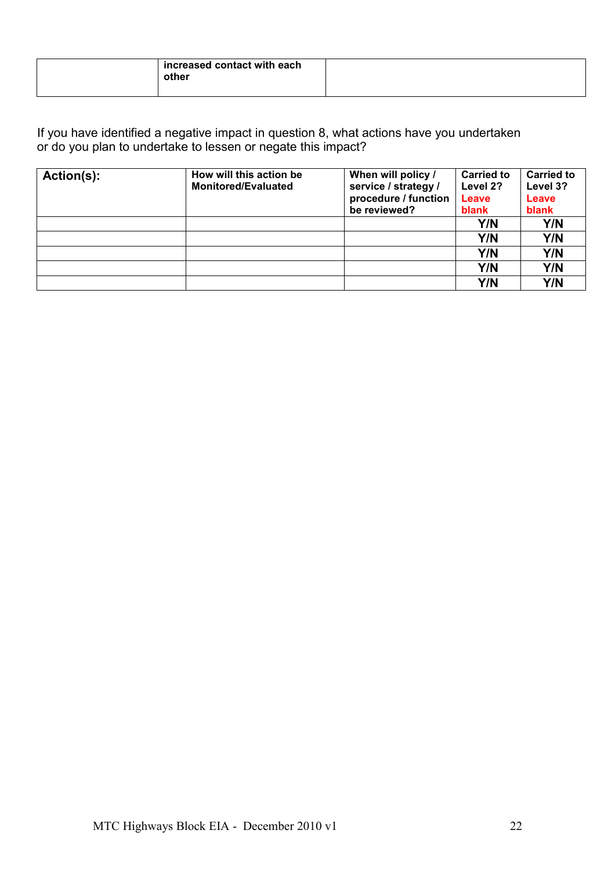| increased contact with each<br>other |  |
|--------------------------------------|--|
|--------------------------------------|--|

| Action(s): | How will this action be<br><b>Monitored/Evaluated</b> | When will policy /                           | <b>Carried to</b> | <b>Carried to</b> |
|------------|-------------------------------------------------------|----------------------------------------------|-------------------|-------------------|
|            |                                                       | service / strategy /<br>procedure / function | Level 2?<br>Leave | Level 3?<br>Leave |
|            |                                                       | be reviewed?                                 | blank             | blank             |
|            |                                                       |                                              | Y/N               | Y/N               |
|            |                                                       |                                              | Y/N               | Y/N               |
|            |                                                       |                                              | Y/N               | Y/N               |
|            |                                                       |                                              | Y/N               | Y/N               |
|            |                                                       |                                              | Y/N               | Y/N               |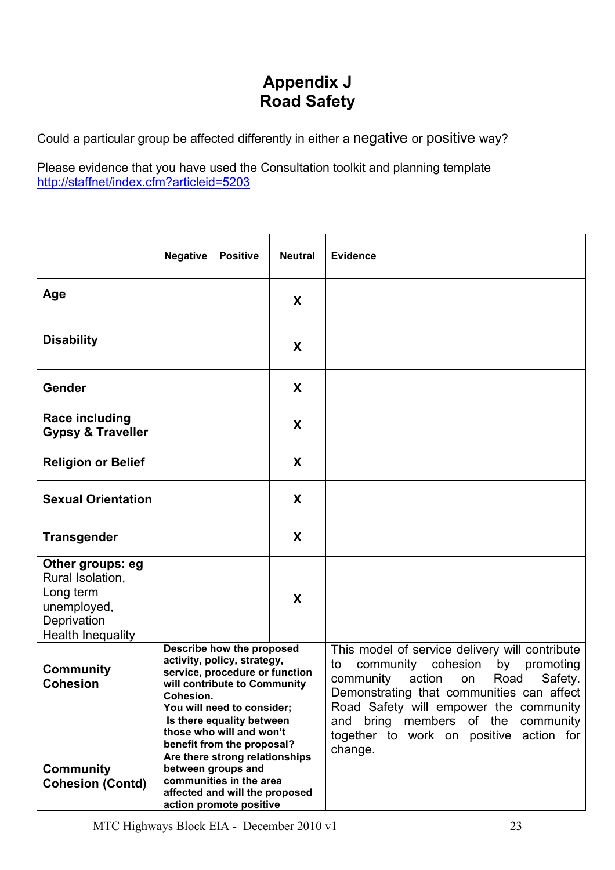## Appendix J Road Safety

Could a particular group be affected differently in either a negative or positive way?

|                                                                                                      | <b>Negative</b>                                                                                                                                                                                                                                                                                                                                                                                              | <b>Positive</b> | <b>Neutral</b> | <b>Evidence</b>                                                                                                                                                                                                                                                                                                                        |
|------------------------------------------------------------------------------------------------------|--------------------------------------------------------------------------------------------------------------------------------------------------------------------------------------------------------------------------------------------------------------------------------------------------------------------------------------------------------------------------------------------------------------|-----------------|----------------|----------------------------------------------------------------------------------------------------------------------------------------------------------------------------------------------------------------------------------------------------------------------------------------------------------------------------------------|
| Age                                                                                                  |                                                                                                                                                                                                                                                                                                                                                                                                              |                 | X              |                                                                                                                                                                                                                                                                                                                                        |
| <b>Disability</b>                                                                                    |                                                                                                                                                                                                                                                                                                                                                                                                              |                 | X              |                                                                                                                                                                                                                                                                                                                                        |
| Gender                                                                                               |                                                                                                                                                                                                                                                                                                                                                                                                              |                 | X              |                                                                                                                                                                                                                                                                                                                                        |
| <b>Race including</b><br><b>Gypsy &amp; Traveller</b>                                                |                                                                                                                                                                                                                                                                                                                                                                                                              |                 | X              |                                                                                                                                                                                                                                                                                                                                        |
| <b>Religion or Belief</b>                                                                            |                                                                                                                                                                                                                                                                                                                                                                                                              |                 | X              |                                                                                                                                                                                                                                                                                                                                        |
| <b>Sexual Orientation</b>                                                                            |                                                                                                                                                                                                                                                                                                                                                                                                              |                 | X              |                                                                                                                                                                                                                                                                                                                                        |
| <b>Transgender</b>                                                                                   |                                                                                                                                                                                                                                                                                                                                                                                                              |                 | X              |                                                                                                                                                                                                                                                                                                                                        |
| Other groups: eg<br>Rural Isolation,<br>Long term<br>unemployed,<br>Deprivation<br>Health Inequality |                                                                                                                                                                                                                                                                                                                                                                                                              |                 | X              |                                                                                                                                                                                                                                                                                                                                        |
| <b>Community</b><br><b>Cohesion</b><br><b>Community</b><br><b>Cohesion (Contd)</b>                   | Describe how the proposed<br>activity, policy, strategy,<br>service, procedure or function<br>will contribute to Community<br>Cohesion.<br>You will need to consider;<br>Is there equality between<br>those who will and won't<br>benefit from the proposal?<br>Are there strong relationships<br>between groups and<br>communities in the area<br>affected and will the proposed<br>action promote positive |                 |                | This model of service delivery will contribute<br>community<br>cohesion<br>promoting<br>to<br>by<br>community<br>action<br>Road<br>Safety.<br>on<br>Demonstrating that communities can affect<br>Road Safety will empower the community<br>bring members of the community<br>and<br>together to work on positive action for<br>change. |